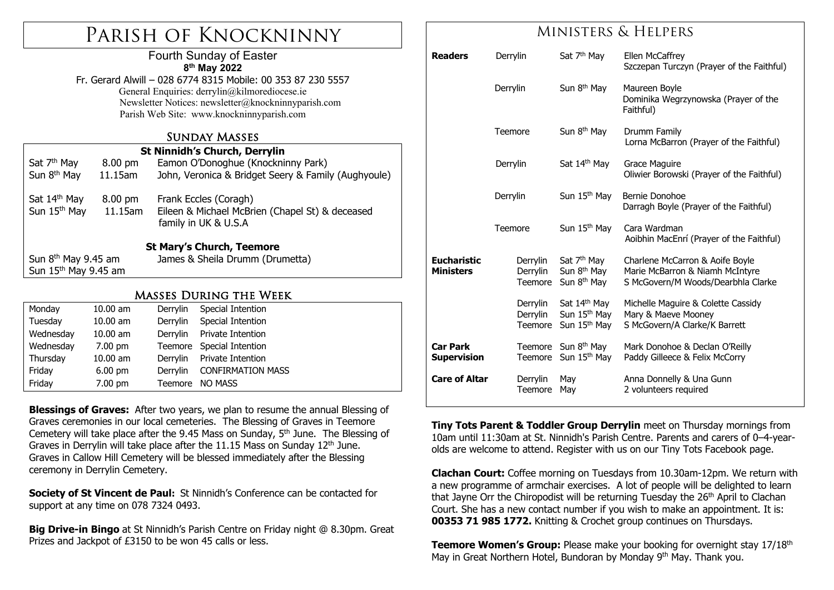# Parish of Knockninny

#### Fourth Sunday of Easter **8th May 2022**

Fr. Gerard Alwill – 028 6774 8315 Mobile: 00 353 87 230 5557 General Enquiries: derrylin@kilmorediocese.ie Newsletter Notices: newsletter@knockninnyparish.com Parish Web Site: www.knockninnyparish.com

#### Sunday Masses

| <b>St Ninnidh's Church, Derrylin</b>                 |                       |                                                                                                  |  |  |  |  |  |  |
|------------------------------------------------------|-----------------------|--------------------------------------------------------------------------------------------------|--|--|--|--|--|--|
| Sat 7 <sup>th</sup> May                              | 8.00 pm               | Eamon O'Donoghue (Knockninny Park)                                                               |  |  |  |  |  |  |
| Sun 8 <sup>th</sup> May                              | 11.15am               | John, Veronica & Bridget Seery & Family (Aughyoule)                                              |  |  |  |  |  |  |
| Sat 14 <sup>th</sup> May<br>Sun 15 <sup>th</sup> May | 8.00 pm<br>$11.15$ am | Frank Eccles (Coragh)<br>Eileen & Michael McBrien (Chapel St) & deceased<br>family in UK & U.S.A |  |  |  |  |  |  |
| <b>St Mary's Church, Teemore</b>                     |                       |                                                                                                  |  |  |  |  |  |  |
| Sun $8th$ May 9.45 am                                |                       | James & Sheila Drumm (Drumetta)                                                                  |  |  |  |  |  |  |
| Sun 15 <sup>th</sup> May 9.45 am                     |                       |                                                                                                  |  |  |  |  |  |  |
| <b>MASSES DURING THE WEEK</b>                        |                       |                                                                                                  |  |  |  |  |  |  |
| Monday                                               | $10.00$ am            | Derrylin<br>Special Intention                                                                    |  |  |  |  |  |  |
| Tuesday                                              | 10.00 am              | Derrylin<br>Special Intention                                                                    |  |  |  |  |  |  |

| Wednesday | $10.00 \text{ am}$ | Derrylin Private Intention |
|-----------|--------------------|----------------------------|
| Wednesday | 7.00 pm            | Teemore Special Intention  |
| Thursday  | $10.00$ am         | Derrylin Private Intention |
| Friday    | $6.00 \text{ pm}$  | Derrylin CONFIRMATION MASS |
| Friday    | 7.00 pm            | Teemore NO MASS            |
|           |                    |                            |

**Blessings of Graves:** After two years, we plan to resume the annual Blessing of Graves ceremonies in our local cemeteries. The Blessing of Graves in Teemore Cemetery will take place after the 9.45 Mass on Sunday, 5<sup>th</sup> June. The Blessing of Graves in Derrylin will take place after the 11.15 Mass on Sunday  $12<sup>th</sup>$  June. Graves in Callow Hill Cemetery will be blessed immediately after the Blessing ceremony in Derrylin Cemetery.

**Society of St Vincent de Paul:** St Ninnidh's Conference can be contacted for support at any time on 078 7324 0493.

**Big Drive-in Bingo** at St Ninnidh's Parish Centre on Friday night @ 8.30pm. Great Prizes and Jackpot of £3150 to be won 45 calls or less.

### Ministers & Helpers

| <b>Readers</b>                         | Derrylin                        | Sat 7 <sup>th</sup> May                                                          | Ellen McCaffrey<br>Szczepan Turczyn (Prayer of the Faithful)                                             |
|----------------------------------------|---------------------------------|----------------------------------------------------------------------------------|----------------------------------------------------------------------------------------------------------|
|                                        | Derrylin                        | Sun 8 <sup>th</sup> May                                                          | Maureen Boyle<br>Dominika Wegrzynowska (Prayer of the<br>Faithful)                                       |
|                                        | Teemore                         | Sun 8 <sup>th</sup> May                                                          | Drumm Family<br>Lorna McBarron (Prayer of the Faithful)                                                  |
|                                        | Derrylin                        | Sat 14th May                                                                     | Grace Maguire<br>Oliwier Borowski (Prayer of the Faithful)                                               |
|                                        | Derrylin                        | Sun 15 <sup>th</sup> May                                                         | Bernie Donohoe<br>Darragh Boyle (Prayer of the Faithful)                                                 |
|                                        | Teemore                         | Sun 15 <sup>th</sup> May                                                         | Cara Wardman<br>Aoibhin MacEnrí (Prayer of the Faithful)                                                 |
| <b>Eucharistic</b><br><b>Ministers</b> | Derrylin<br>Derrylin<br>Teemore | Sat 7 <sup>th</sup> May<br>Sun 8 <sup>th</sup> May<br>Sun 8 <sup>th</sup> May    | Charlene McCarron & Aoife Boyle<br>Marie McBarron & Niamh McIntyre<br>S McGovern/M Woods/Dearbhla Clarke |
|                                        | Derrylin<br>Derrylin<br>Teemore | Sat 14 <sup>th</sup> May<br>Sun 15 <sup>th</sup> May<br>Sun 15 <sup>th</sup> May | Michelle Maguire & Colette Cassidy<br>Mary & Maeve Mooney<br>S McGovern/A Clarke/K Barrett               |
| <b>Car Park</b><br><b>Supervision</b>  | Teemore<br>Teemore              | Sun 8 <sup>th</sup> May<br>Sun 15 <sup>th</sup> May                              | Mark Donohoe & Declan O'Reilly<br>Paddy Gilleece & Felix McCorry                                         |
| <b>Care of Altar</b>                   | Derrylin<br>Teemore             | May<br>May                                                                       | Anna Donnelly & Una Gunn<br>2 volunteers required                                                        |

**Tiny Tots Parent & Toddler Group Derrylin** meet on Thursday mornings from 10am until 11:30am at St. Ninnidh's Parish Centre. Parents and carers of 0–4-yearolds are welcome to attend. Register with us on our Tiny Tots Facebook page.

**Clachan Court:** Coffee morning on Tuesdays from 10.30am-12pm. We return with a new programme of armchair exercises. A lot of people will be delighted to learn that Jayne Orr the Chiropodist will be returning Tuesday the 26<sup>th</sup> April to Clachan Court. She has a new contact number if you wish to make an appointment. It is: **00353 71 985 1772.** Knitting & Crochet group continues on Thursdays.

**Teemore Women's Group:** Please make your booking for overnight stay 17/18<sup>th</sup> May in Great Northern Hotel, Bundoran by Monday 9<sup>th</sup> May. Thank you.